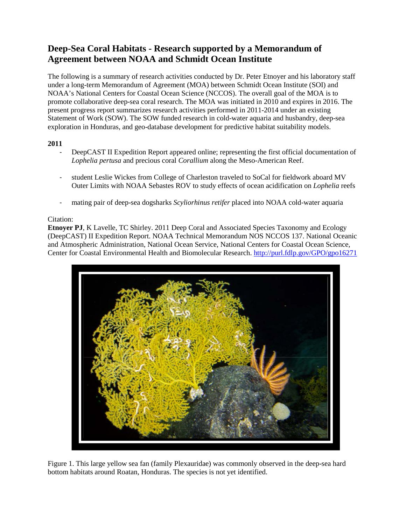# **Deep-Sea Coral Habitats - Research supported by a Memorandum of Agreement between NOAA and Schmidt Ocean Institute**

The following is a summary of research activities conducted by Dr. Peter Etnoyer and his laboratory staff under a long-term Memorandum of Agreement (MOA) between Schmidt Ocean Institute (SOI) and NOAA's National Centers for Coastal Ocean Science (NCCOS). The overall goal of the MOA is to promote collaborative deep-sea coral research. The MOA was initiated in 2010 and expires in 2016. The present progress report summarizes research activities performed in 2011-2014 under an existing Statement of Work (SOW). The SOW funded research in cold-water aquaria and husbandry, deep-sea exploration in Honduras, and geo-database development for predictive habitat suitability models.

## **2011**

- DeepCAST II Expedition Report appeared online; representing the first official documentation of *Lophelia pertusa* and precious coral *Corallium* along the Meso-American Reef.
- student Leslie Wickes from College of Charleston traveled to SoCal for fieldwork aboard MV Outer Limits with NOAA Sebastes ROV to study effects of ocean acidification on *Lophelia* reefs
- mating pair of deep-sea dogsharks *Scyliorhinus retifer* placed into NOAA cold-water aquaria

# Citation:

**Etnoyer PJ**, K Lavelle, TC Shirley. 2011 Deep Coral and Associated Species Taxonomy and Ecology (DeepCAST) II Expedition Report. NOAA Technical Memorandum NOS NCCOS 137. National Oceanic and Atmospheric Administration, National Ocean Service, National Centers for Coastal Ocean Science, Center for Coastal Environmental Health and Biomolecular Research[. http://purl.fdlp.gov/GPO/gpo16271](http://purl.fdlp.gov/GPO/gpo16271)



Figure 1. This large yellow sea fan (family Plexauridae) was commonly observed in the deep-sea hard bottom habitats around Roatan, Honduras. The species is not yet identified.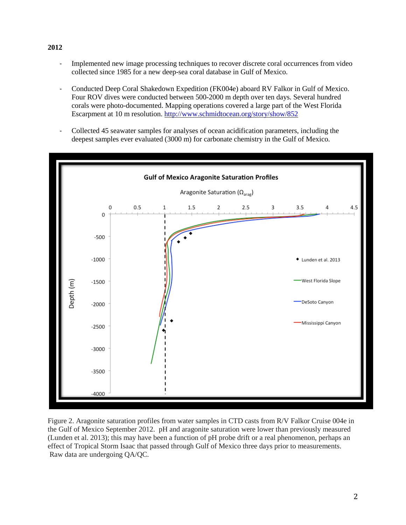- Implemented new image processing techniques to recover discrete coral occurrences from video collected since 1985 for a new deep-sea coral database in Gulf of Mexico.
- Conducted [Deep Coral Shakedown Expedition](http://schmidtocean.org/story/show/852) (FK004e) aboard RV Falkor in Gulf of Mexico. Four ROV dives were conducted between 500-2000 m depth over ten days. Several hundred corals were photo-documented. Mapping operations covered a large part of the West Florida Escarpment at 10 m resolution.<http://www.schmidtocean.org/story/show/852>
- Collected 45 seawater samples for analyses of ocean acidification parameters, including the deepest samples ever evaluated (3000 m) for carbonate chemistry in the Gulf of Mexico.



Figure 2. Aragonite saturation profiles from water samples in CTD casts from R/V Falkor Cruise 004e in the Gulf of Mexico September 2012. pH and aragonite saturation were lower than previously measured (Lunden et al. 2013); this may have been a function of pH probe drift or a real phenomenon, perhaps an effect of Tropical Storm Isaac that passed through Gulf of Mexico three days prior to measurements. Raw data are undergoing QA/QC.

#### **2012**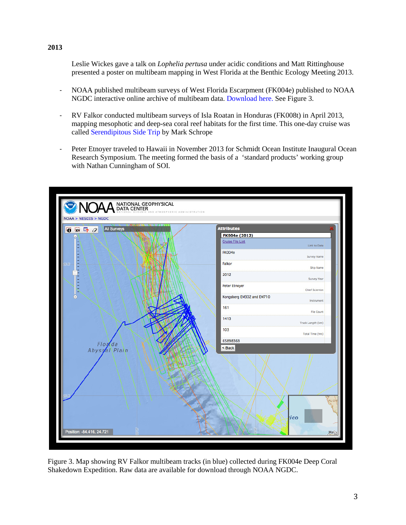Leslie Wickes gave a talk on *Lophelia pertusa* under acidic conditions and Matt Rittinghouse presented a poster on multibeam mapping in West Florida at the Benthic Ecology Meeting 2013.

- NOAA published multibeam surveys of West Florida Escarpment (FK004e) published to NOAA NGDC interactive online archive of multibeam data. [Download here.](http://www.ngdc.noaa.gov/nndc/struts/results?op_0=eq&t=101378&s=8&d=70&d=75&d=76&d=91&d=74&d=73&d=72&d=81&d=82&d=85&d=86&d=79&no_data=suppress&v_0=NEW2047) See Figure 3.
- RV Falkor conducted multibeam surveys of Isla Roatan in Honduras (FK008t) in April 2013, mapping mesophotic and deep-sea coral reef habitats for the first time. This one-day cruise was called [Serendipitous Side Trip](http://schmidtocean.org/story/show/1770) by Mark Schrope
- Peter Etnoyer traveled to Hawaii in November 2013 for Schmidt Ocean Institute Inaugural Ocean Research Symposium. The meeting formed the basis of a 'standard products' working group with Nathan Cunningham of SOI.



Figure 3. Map showing RV Falkor multibeam tracks (in blue) collected during FK004e Deep Coral Shakedown Expedition. Raw data are available for download through NOAA NGDC.

### **2013**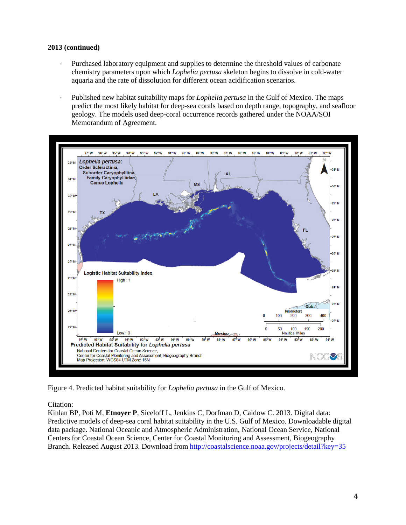## **2013 (continued)**

- Purchased laboratory equipment and supplies to determine the threshold values of carbonate chemistry parameters upon which *Lophelia pertusa* skeleton begins to dissolve in cold-water aquaria and the rate of dissolution for different ocean acidification scenarios.
- Published new habitat suitability maps for *Lophelia pertusa* in the Gulf of Mexico. The maps predict the most likely habitat for deep-sea corals based on depth range, topography, and seafloor geology. The models used deep-coral occurrence records gathered under the NOAA/SOI Memorandum of Agreement.



Figure 4. Predicted habitat suitability for *Lophelia pertusa* in the Gulf of Mexico.

Citation:

Kinlan BP, Poti M, **Etnoyer P**, Siceloff L, Jenkins C, Dorfman D, Caldow C. 2013. Digital data: Predictive models of deep-sea coral habitat suitability in the U.S. Gulf of Mexico. Downloadable digital data package. National Oceanic and Atmospheric Administration, National Ocean Service, National Centers for Coastal Ocean Science, Center for Coastal Monitoring and Assessment, Biogeography Branch. Released August 2013. Download from<http://coastalscience.noaa.gov/projects/detail?key=35>